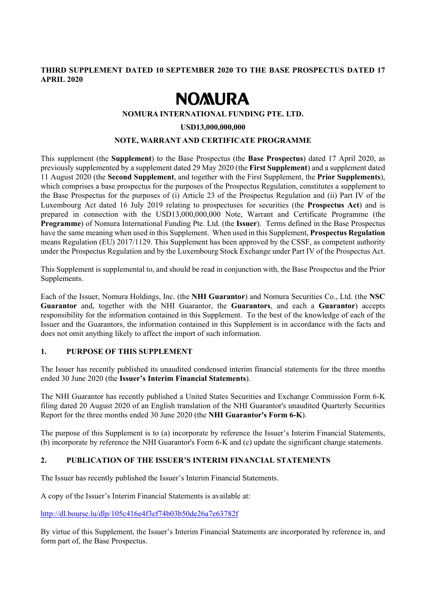## **THIRD SUPPLEMENT DATED 10 SEPTEMBER 2020 TO THE BASE PROSPECTUS DATED 17 APRIL 2020**

# **NOMURA**

#### **NOMURA INTERNATIONAL FUNDING PTE. LTD.**

#### **USD13,000,000,000**

#### **NOTE, WARRANT AND CERTIFICATE PROGRAMME**

This supplement (the **Supplement**) to the Base Prospectus (the **Base Prospectus**) dated 17 April 2020, as previously supplemented by a supplement dated 29 May 2020 (the **First Supplement**) and a supplement dated 11 August 2020 (the **Second Supplement**, and together with the First Supplement, the **Prior Supplements**), which comprises a base prospectus for the purposes of the Prospectus Regulation, constitutes a supplement to the Base Prospectus for the purposes of (i) Article 23 of the Prospectus Regulation and (ii) Part IV of the Luxembourg Act dated 16 July 2019 relating to prospectuses for securities (the **Prospectus Act**) and is prepared in connection with the USD13,000,000,000 Note, Warrant and Certificate Programme (the **Programme**) of Nomura International Funding Pte. Ltd. (the **Issuer**). Terms defined in the Base Prospectus have the same meaning when used in this Supplement. When used in this Supplement, **Prospectus Regulation** means Regulation (EU) 2017/1129. This Supplement has been approved by the CSSF, as competent authority under the Prospectus Regulation and by the Luxembourg Stock Exchange under Part IV of the Prospectus Act.

This Supplement is supplemental to, and should be read in conjunction with, the Base Prospectus and the Prior Supplements.

Each of the Issuer, Nomura Holdings, Inc. (the **NHI Guarantor**) and Nomura Securities Co., Ltd. (the **NSC Guarantor** and, together with the NHI Guarantor, the **Guarantors**, and each a **Guarantor**) accepts responsibility for the information contained in this Supplement. To the best of the knowledge of each of the Issuer and the Guarantors, the information contained in this Supplement is in accordance with the facts and does not omit anything likely to affect the import of such information.

## **1. PURPOSE OF THIS SUPPLEMENT**

The Issuer has recently published its unaudited condensed interim financial statements for the three months ended 30 June 2020 (the **Issuer's Interim Financial Statements**).

The NHI Guarantor has recently published a United States Securities and Exchange Commission Form 6-K filing dated 20 August 2020 of an English translation of the NHI Guarantor's unaudited Quarterly Securities Report for the three months ended 30 June 2020 (the **NHI Guarantor's Form 6-K**).

The purpose of this Supplement is to (a) incorporate by reference the Issuer's Interim Financial Statements, (b) incorporate by reference the NHI Guarantor's Form 6-K and (c) update the significant change statements.

## **2. PUBLICATION OF THE ISSUER'S INTERIM FINANCIAL STATEMENTS**

The Issuer has recently published the Issuer's Interim Financial Statements.

A copy of the Issuer's Interim Financial Statements is available at:

http://dl.bourse.lu/dlp/105c416e4f3ef74b03b50de26a7e63782f

By virtue of this Supplement, the Issuer's Interim Financial Statements are incorporated by reference in, and form part of, the Base Prospectus.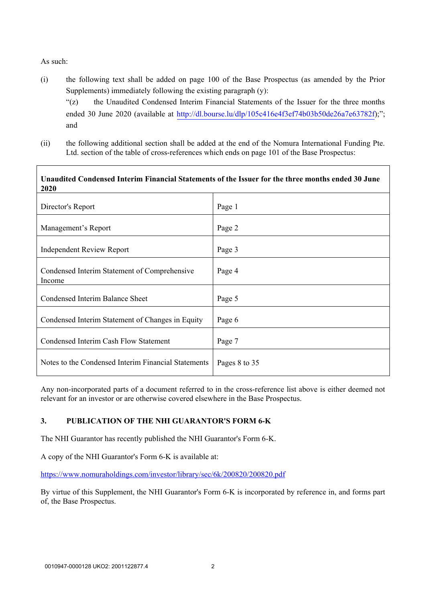#### As such:

- (i) the following text shall be added on page 100 of the Base Prospectus (as amended by the Prior Supplements) immediately following the existing paragraph (y): "(z) the Unaudited Condensed Interim Financial Statements of the Issuer for the three months ended 30 June 2020 (available at [http://dl.bourse.lu/dlp/105c416e4f3ef74b03b50de26a7e63782f\)](http://dl.bourse.lu/dlp/105c416e4f3ef74b03b50de26a7e63782f);"; and
- (ii) the following additional section shall be added at the end of the Nomura International Funding Pte. Ltd. section of the table of cross-references which ends on page 101 of the Base Prospectus:

| Unaudited Condensed Interim Financial Statements of the Issuer for the three months ended 30 June<br>2020 |               |
|-----------------------------------------------------------------------------------------------------------|---------------|
| Director's Report                                                                                         | Page 1        |
| Management's Report                                                                                       | Page 2        |
| <b>Independent Review Report</b>                                                                          | Page 3        |
| Condensed Interim Statement of Comprehensive<br>Income                                                    | Page 4        |
| Condensed Interim Balance Sheet                                                                           | Page 5        |
| Condensed Interim Statement of Changes in Equity                                                          | Page 6        |
| Condensed Interim Cash Flow Statement                                                                     | Page 7        |
| Notes to the Condensed Interim Financial Statements                                                       | Pages 8 to 35 |

Any non-incorporated parts of a document referred to in the cross-reference list above is either deemed not relevant for an investor or are otherwise covered elsewhere in the Base Prospectus.

## **3. PUBLICATION OF THE NHI GUARANTOR'S FORM 6-K**

The NHI Guarantor has recently published the NHI Guarantor's Form 6-K.

A copy of the NHI Guarantor's Form 6-K is available at:

https://www.nomuraholdings.com/investor/library/sec/6k/200820/200820.pdf

By virtue of this Supplement, the NHI Guarantor's Form 6-K is incorporated by reference in, and forms part of, the Base Prospectus.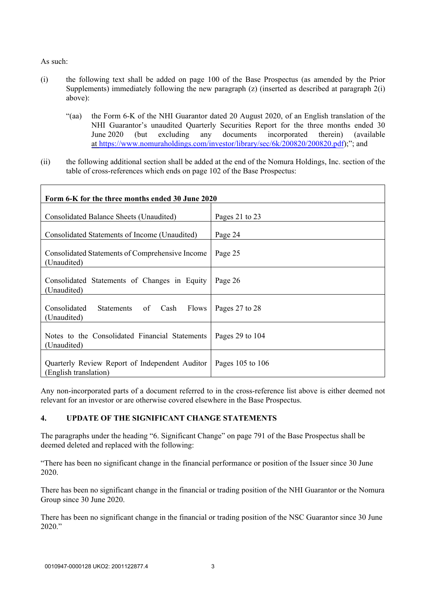As such:

- (i) the following text shall be added on page 100 of the Base Prospectus (as amended by the Prior Supplements) immediately following the new paragraph (z) (inserted as described at paragraph 2(i) above):
	- "(aa) the Form 6-K of the NHI Guarantor dated 20 August 2020, of an English translation of the NHI Guarantor's unaudited Quarterly Securities Report for the three months ended 30 June 2020 (but excluding any documents incorporated therein) (available at [https://www.nomuraholdings.com/investor/library/sec/6k/200820/200820.pdf\)](https://www.nomuraholdings.com/investor/library/sec/6k/200820/200820.pdf);"; and
- (ii) the following additional section shall be added at the end of the Nomura Holdings, Inc. section of the table of cross-references which ends on page 102 of the Base Prospectus:

| Form 6-K for the three months ended 30 June 2020                        |                     |
|-------------------------------------------------------------------------|---------------------|
| Consolidated Balance Sheets (Unaudited)                                 | Pages 21 to 23      |
| Consolidated Statements of Income (Unaudited)                           | Page 24             |
| Consolidated Statements of Comprehensive Income<br>(Unaudited)          | Page 25             |
| Consolidated Statements of Changes in Equity<br>(Unaudited)             | Page 26             |
| Consolidated<br>Statements<br>of Cash<br><b>Flows</b><br>(Unaudited)    | Pages 27 to 28      |
| Notes to the Consolidated Financial Statements<br>(Unaudited)           | Pages $29$ to $104$ |
| Quarterly Review Report of Independent Auditor<br>(English translation) | Pages 105 to 106    |

Any non-incorporated parts of a document referred to in the cross-reference list above is either deemed not relevant for an investor or are otherwise covered elsewhere in the Base Prospectus.

## **4. UPDATE OF THE SIGNIFICANT CHANGE STATEMENTS**

The paragraphs under the heading "6. Significant Change" on page 791 of the Base Prospectus shall be deemed deleted and replaced with the following:

"There has been no significant change in the financial performance or position of the Issuer since 30 June 2020.

There has been no significant change in the financial or trading position of the NHI Guarantor or the Nomura Group since 30 June 2020.

There has been no significant change in the financial or trading position of the NSC Guarantor since 30 June 2020."